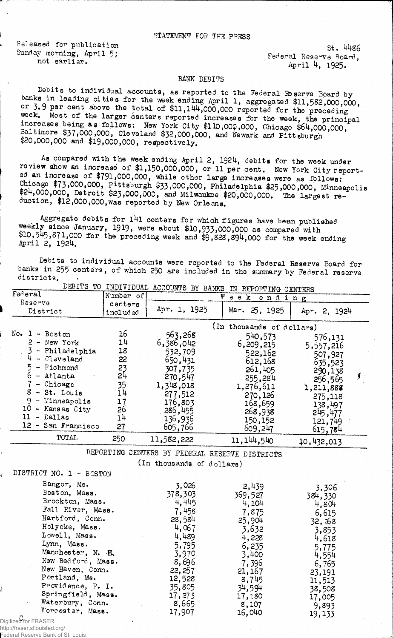## STATEMENT FOR THE PPESS

Released for publication Sunday morning, April 5; not earlier.

St. 44s6 Federal Reserve Board, April 4, 1925.

## bank DEBITS

Debits to individual accounts, as reported to the Federal Reserve Board by banks in leading cities for the week ending April 1, aggregated \$11,532,000,000. or 3.9 per cent above the total of \$11,144,000,000 reported for the preceding week. Most of the larger centers reported increases for the week, the principal increases being as follows: New York City \$110,000,000, Chicago \$64,000,000, Baltimore \$37,000,000, Cleveland \$32,000,000, and Newark and Pittsburgh \$20,000,000 and \$19,000,000, respectively.

As compared with the week ending April 2, 1924, debits for the week under review show an increase of \$1,150,000,000, or 11 per cent. New York City reported an increase of \$791,000,000, while other large increases were as follows: Chicago \$73,000,000, Pittsburgh \$33,000,000, Philadelphia \$25,000,000, Minneapolis \$24,000,000, Detroit \$23,000,000, and Milwaukee \$20,000,000. The largest reduction, \$12,000,000,was reported by New Orleans.

Aggregate debits for l4l centers for which figures have bean published weekly since January, 1919, were about \$10,933,000,000 as compared with  $+10,545,871,000$  for the preceding week and  $$9,828,894,000$  for the week ending April 2,  $1924.$ 

Debits to individual accounts were reported to the Federal Reserve Board for banks in 255 centers, of which 250 are included in the summary by Federal reserve districts.

|                         |                 |                                                | DEBITS TO INDIVIDUAL ACCOUNTS BY BANKS IN REPORTING CENTERS |                 |   |
|-------------------------|-----------------|------------------------------------------------|-------------------------------------------------------------|-----------------|---|
| Federal                 | Number of       |                                                | $W$ e e $k$<br>ending                                       |                 |   |
| Reserve                 | centers         | Apr. 1, 1925                                   |                                                             |                 |   |
| District                | included        |                                                | Mar. 25, 1925                                               | Apr. 2, 1924    |   |
|                         |                 |                                                | (In thousands of dollars)                                   |                 |   |
| No. $1 - Boston$        | 16              | 563,268                                        | 540,573                                                     | 576,131         |   |
| $2 - New York$          | 14              | 6,386,042                                      | 6,209,215                                                   | 5,557,216       |   |
| 3 - Philadelphia        | 18              | 532,709                                        | 522,162                                                     | 507,927         |   |
| $4 -$ Cleveland         | 22              | 690,431                                        | 612,168                                                     | 635,523         |   |
| 5<br>- Richmond         | 23              | 307,735                                        | 261,405                                                     | 290,138         |   |
| 6<br>- Atlanta          | 24              | 270,547                                        | 255,284                                                     | 256,565         | ť |
| $7$ - Chicago           | $\frac{35}{14}$ | 1,348,018                                      | 1,276,611                                                   | 1,211,888       |   |
| 8 - St. Louis           |                 | 277,512                                        | 270,126                                                     | 275,118         |   |
| $9 -$ Minneapolis       | 17              | 176,803                                        | 168,659                                                     | 138,497         |   |
| 10 - Kansas City        | 26              | 286,455                                        | 268,938                                                     | 245,477         |   |
| $11 - Dallas$           | 14              | 136,936                                        | 150,152                                                     | 121,749         |   |
| 12 - San Francisco      | 27              | 605,766                                        | 609,247                                                     | 615,784         |   |
| <b>TOTAL</b>            | 250             | 11,582,222                                     | 11, 144, 540                                                | 10,432,013      |   |
|                         |                 | REPORTING CENTERS BY FEDERAL RESERVE DISTRICTS |                                                             |                 |   |
|                         |                 | (In thousands of dollars)                      |                                                             |                 |   |
| DISTRICT NO. 1 - BOSTON |                 |                                                |                                                             |                 |   |
| Bangor, Me.             |                 |                                                |                                                             |                 |   |
| Boston, Mass.           |                 | 3,026                                          | 2,439                                                       | 3,306           |   |
| Brockton, Mass.         |                 | 378,303<br>4,445                               | 369,527                                                     | 384,330         |   |
| Fall River, Mass.       |                 | 7,458                                          | 4,104                                                       | 4,804           |   |
| Hartford, Conn.         |                 | 28,584                                         | 7,875                                                       | 6,615           |   |
| Holyoke, Mass.          |                 | 4,067                                          | 25,904                                                      | 32,368          |   |
| Lowell, Mass.           |                 | 4,489                                          | 3,632                                                       | 3,853           |   |
| Lynn, Mass.             |                 |                                                | 4,228                                                       | 4,618           |   |
| Manchester, N. H.       |                 | 5,795                                          | 6,235                                                       | 5,775           |   |
| New Bedford, Mass.      |                 | 3,970<br>8,696                                 | 3,400                                                       | 4,554           |   |
| New Haven, Com.         |                 | 22, 257                                        | 7,396                                                       | 6,765           |   |
| Portland, Me.           |                 | 12,528                                         | 21,167                                                      | 23,191          |   |
| Providence, R. I.       |                 | 35,805                                         | 8,745<br>34,594                                             | 11,513          |   |
| Springfield, Mass.      |                 | 17,273                                         | 17,180                                                      | 38,508          |   |
| Waterbury, Conn.        |                 | 8,665                                          | 8,107                                                       | 17,005          |   |
| Worcester, Mass.        |                 | 17,907                                         | 16,040                                                      | 9,893<br>19,133 |   |
| Digitized for FRASER    |                 |                                                |                                                             |                 |   |
|                         |                 |                                                |                                                             |                 |   |

http://fraser.stlouisfed.org/

Federal Reserve Bank of St. Louis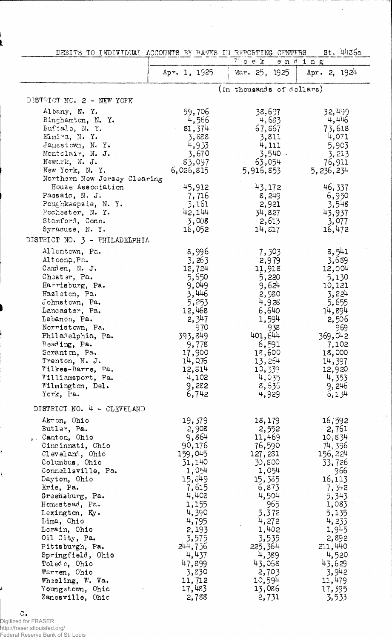|  |  | DEBITS TO INDIVIDUAL ACCOUNTS BY BANKS IN REPORTING CENTERS |  |  |  |  |  |  |  | $St.$ 4436a |
|--|--|-------------------------------------------------------------|--|--|--|--|--|--|--|-------------|
|--|--|-------------------------------------------------------------|--|--|--|--|--|--|--|-------------|

 $\hat{\mathcal{A}}$ 

|                                                                                                                                                                                                                                                                                                                                                                                                                                  |                                                                                                                                                                                                               | W<br>e e K                                                                                                                                                                                                    | ending                                                                                                                                                                                                        |
|----------------------------------------------------------------------------------------------------------------------------------------------------------------------------------------------------------------------------------------------------------------------------------------------------------------------------------------------------------------------------------------------------------------------------------|---------------------------------------------------------------------------------------------------------------------------------------------------------------------------------------------------------------|---------------------------------------------------------------------------------------------------------------------------------------------------------------------------------------------------------------|---------------------------------------------------------------------------------------------------------------------------------------------------------------------------------------------------------------|
|                                                                                                                                                                                                                                                                                                                                                                                                                                  | Apr. 1, 1925                                                                                                                                                                                                  | Mar. 25, 1925                                                                                                                                                                                                 | Apr. 2, $1924$                                                                                                                                                                                                |
| $\alpha$                                                                                                                                                                                                                                                                                                                                                                                                                         |                                                                                                                                                                                                               | (In thousands of dollars)                                                                                                                                                                                     |                                                                                                                                                                                                               |
| DISTRICT NO. 2 - NEW YORK                                                                                                                                                                                                                                                                                                                                                                                                        |                                                                                                                                                                                                               |                                                                                                                                                                                                               |                                                                                                                                                                                                               |
| Albany, N. Y.<br>Binghamton, N. Y.<br>Buffalo, N.Y.<br>Eimira, N.Y.<br>Jamestown, N. Y.<br>Montclair, N. J.<br>Newark, N. J.<br>New York, N. Y.<br>Northern New Jersey Clearing                                                                                                                                                                                                                                                  | 59,706<br>4,566<br>81,374<br>3,888<br>4,953<br>3,670<br>83,097<br>6,026,815                                                                                                                                   | 38,697<br>4,683<br>67,867<br>3,811<br>4,111<br>$3,540$ .<br>63,054<br>5,916,853                                                                                                                               | <b>32,4</b> 99<br>4,416<br>73,618<br>4,071<br>5,903<br>3,213<br>76,911<br>5, 236, 234                                                                                                                         |
| House Association<br>Passaic, N. J.<br>Poughkeepsie, N.Y.<br>Rochester, N. Y.<br>Stamford, Conn.<br>Syracuse, N. Y.<br>DISTRICT NO. 3 - PHILADELPHIA                                                                                                                                                                                                                                                                             | 45,912<br>7,716<br>3,161<br>42,144<br>3,008<br>16,052                                                                                                                                                         | 43,172<br>8,249<br>2,921<br>34,827<br>2,613<br>14, 517                                                                                                                                                        | 46,337<br>6,950<br>3,548<br>43,937<br>3,077<br>16,472                                                                                                                                                         |
| Allentown, Pa.<br>Altoong, Pa.<br>Camden, N. J.<br>Chester, Pa.<br>Harrisburg, Pa.<br>Hazleton, Pa.<br>Johnstown, Pa.<br>Lancaster, Pa.<br>Lebanon, Pa.<br>Norristown, Pa.<br>Philadelphia, Pa.<br>Reading, Pa.<br>Scranton, Pa.<br>Trenton, N. J.<br>Wilkes-Barre, Pa.<br>Williamsport, Pa.<br>Wilmington, Del.<br>York, Pa.                                                                                                    | 8,996<br>3,263<br>12,724<br>5,650<br>9,049<br>3,446<br>5,253<br>12,468<br>2, 347<br>970<br>393,849<br>9,778<br>17,900<br>14,0.76<br>12,814<br>4,102<br>9,282<br>6,742                                         | 7, 503<br>2,979<br>11,918<br>5,220<br>9,624<br>2,980<br>4,928<br>6,640<br>1,594<br>938<br>401,644<br>6,591<br>18,600<br>13,254<br>10,339<br>4,035<br>8,636<br>4,929                                           | 8,541<br>3,639<br>12,004<br>5,130<br>10,121<br>3,224<br>5,655<br>14,894<br>2,506<br>969<br>369,042<br>7,102<br>18,000<br>14,397<br>12,920<br>4,353<br>9,246<br>6,134                                          |
| DISTRICT NO. 4 - CLEVELAND<br>Akton, Ohio<br>Butler, Pa.<br>, Canton, Ohio<br>Cincinnati, Ohio<br>Cleveland, Ohio<br>Columbus, Ohio<br>Connellsville, Pa.<br>Dayton, Ohio<br>Erie, Pa.<br>Greensburg, Pa.<br>Homestead, Pa.<br>Lexington, Ky.<br>Lima, Chio<br>Lorain, Ohio<br>Oil City, Pa.<br>Pittsburgh, Pa.<br>Springfield, Ohio<br>Toledo, Ohio<br>Warren, Ohio<br>Wheeling, W. Va.<br>Youngstown, Ohio<br>Zanesville, Ohic | 19,379<br>2,908<br>9,864<br>90,176<br>159,045<br>31,140<br>1,054<br>15,349<br>7,615<br>4,408<br>1,155<br>4,390<br>4,795<br>2,193<br>3,575<br>244,736<br>4,437<br>47,899<br>3,830<br>11,712<br>17,483<br>2,788 | 18,179<br>2,552<br>11,469<br>76,590<br>127,231<br>30,800<br>1,054<br>15,385<br>6,873<br>4,504<br>965<br>5,372<br>4,272<br>1,402<br>3,535<br>225, 364<br>4,389<br>43,068<br>2,703<br>10,594<br>13,086<br>2,731 | 16,592<br>2,761<br>10,834<br>74, 396<br>156,224<br>33,726<br>966<br>16,113<br>7,342<br>5,343<br>1,083<br>5,135<br>4,233<br>1,945<br>2,892<br>211,440<br>4,520<br>43,629<br>3,942<br>11,479<br>17,395<br>3,533 |

 $\hat{\mathcal{K}}$ 

 $\hat{\boldsymbol{\beta}}$ 

C .<br>Digitized for FRASER<br>http://fraser.stlouisfed.org/<br>Federal Reserve Bank of St. Louis

ć

 $\overline{\mathcal{L}}$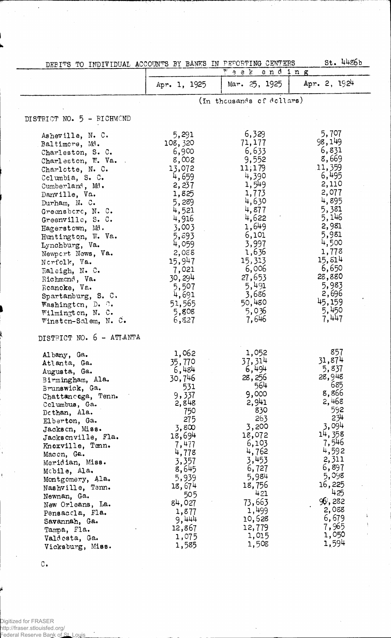| DEBITS TO INDIVIDUAL ACCOUNTS BY BANKS IN PEPORTING CENTERS                                                                                                                                                                                                                                                                                                                                                                                                              |                                                                                                                                                                                                                    |                                                                                                                                                                                                                      | St. 4486b                                                                                                                                                                                                             |
|--------------------------------------------------------------------------------------------------------------------------------------------------------------------------------------------------------------------------------------------------------------------------------------------------------------------------------------------------------------------------------------------------------------------------------------------------------------------------|--------------------------------------------------------------------------------------------------------------------------------------------------------------------------------------------------------------------|----------------------------------------------------------------------------------------------------------------------------------------------------------------------------------------------------------------------|-----------------------------------------------------------------------------------------------------------------------------------------------------------------------------------------------------------------------|
|                                                                                                                                                                                                                                                                                                                                                                                                                                                                          |                                                                                                                                                                                                                    | $\overline{r}$ e k<br>ending                                                                                                                                                                                         |                                                                                                                                                                                                                       |
|                                                                                                                                                                                                                                                                                                                                                                                                                                                                          | Apr. 1, 1925                                                                                                                                                                                                       | Mar. 25, 1925                                                                                                                                                                                                        | Apr. 2, 1924                                                                                                                                                                                                          |
|                                                                                                                                                                                                                                                                                                                                                                                                                                                                          |                                                                                                                                                                                                                    | (In thousands of dollars)                                                                                                                                                                                            |                                                                                                                                                                                                                       |
| DISTRICT NO. 5 - RICHMOND                                                                                                                                                                                                                                                                                                                                                                                                                                                |                                                                                                                                                                                                                    |                                                                                                                                                                                                                      |                                                                                                                                                                                                                       |
| Asheville, N. C.<br>Baltimore, Md.<br>Charleston, S. C.<br>Charleston, W. Va.<br>Charlotte, N. C.<br>Columbia, S. C.<br>Cumberland, Md.<br>Danville, Va.<br>Durham, N. C.<br>Greensboro, N. C.<br>Greenville, S. C.<br>Hagerstown, Md.<br>Huntington, W. Va.<br>Lynchburg, Va.<br>Newpert News, Va.<br>Nerfolk, Va.<br>Raleigh, N. C.<br>Richmond, Va.<br>Reancke, Va.<br>Spartanburg, S. C.<br>Washington, $D_{\bullet}$ .<br>Wilmington, N. C.<br>Winsten-Salem, N. C. | 5,291<br>108,320<br>6,900<br>8,002<br>13,072<br>4,659<br>2,237<br>1,825<br>5,289<br>4,521<br>4,916<br>3,003<br>5,593<br>4,059<br>2,088<br>15,947<br>7,021<br>30,294<br>5,507<br>4,691<br>51,565<br>5,808<br>6,827  | 6,329<br>71,177<br>6,633<br>9,552<br>11,179<br>4,390<br>1,549<br>1,773<br>4,630<br>4,877<br>4,622<br>1,649<br>6,101<br>3,997<br>1,636<br>15,313<br>6,006<br>27,653<br>5,491<br>3,686<br>50,480<br>5,036<br>7,646     | 5,707<br>98,149<br>6,831<br>8,669<br>11,359<br>6,495<br>2,110<br>2,077<br>4,895<br>5,381<br>5,146<br>2,981<br>5,981<br>4,500<br>1,773<br>15, 814<br>6,650<br>28,880<br>5,983<br>2,696<br>45,159<br>5,450<br>7,447     |
| DISTRICT NO. 6 - ATLANTA<br>Albany, Ga.<br>Atlanta, Ga.<br>Augusta, Ga.<br>Birmingham, Ala.<br>Brunswick, Ga.<br>Chattancega, Tenn.<br>Columbus, Ga.<br>Dethan, Ala.<br>Elberton, Ga.<br>Jackson, Miss.<br>Jacksonville, Fla.<br>Knoxville, Tenn.<br>Maccn, Ga.<br>Meridian, Miss.<br>Mobile, Ala.<br>Montgomery, Ala.<br>Nashville, Tenn.<br>Newnan, Ga.<br>New Orleans, La.<br>Pensaccla, Fla.<br>Savannah, Ga.<br>Tampa, Fla.<br>Valdesta, Ga.<br>Vicksburg, Miss.    | 1,062<br>35,770<br>6,484<br>30,746<br>531<br>9,337<br>2,848<br>750<br>275<br>3,800<br>18,694<br>7,477<br>4,778<br>3,357<br>8,645<br>5,939<br>18,674<br>505<br>84,027<br>1,877<br>9,444<br>12,867<br>1,075<br>1,585 | 1,052<br>37, 314<br>6,494<br>28,256<br>564<br>9,000<br>2,941<br>830<br>263<br>3,200<br>18,072<br>6,103<br>4,762<br>3,453<br>6,727<br>5,984<br>18,756<br>421<br>73,663<br>1,499<br>10,628<br>12,779<br>1,015<br>1,508 | 857<br>31,874<br>5,837<br>28,948<br>685<br>8,866<br>2,468<br>592<br>234<br>3,094<br>14,358<br>7,546<br>4,592<br>2,311<br>6,897<br>5,098<br>16,225<br>425<br>96,282<br>2,088<br>î.<br>6,679<br>7,965<br>1,050<br>1,594 |

 $\mathbb{C}_+$ 

Digitized for FRASER http://fraser.stlouisfed.org/ Federal Reserve Bank of St. Louis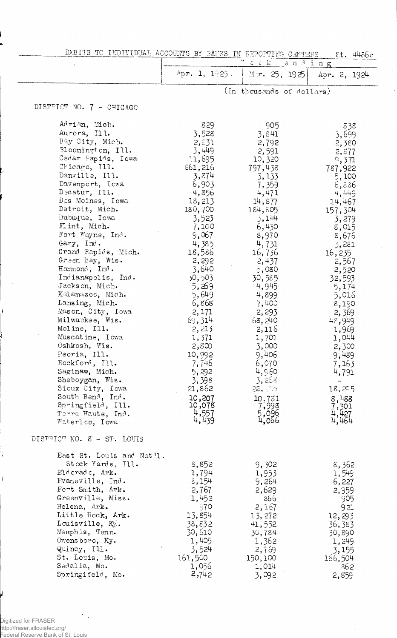|  |  |  | DEBITS TO INDIVIDUAL ACCOUNTS BY BANKS IN REPORTING CENTERS of their |  |
|--|--|--|----------------------------------------------------------------------|--|
|  |  |  |                                                                      |  |

|                                     |                       | ROCCONIC DI DATIN IN BEFORIIPET OREEED<br>$z~<~\mathrm{k}$<br>ending | ат. 44660                        |
|-------------------------------------|-----------------------|----------------------------------------------------------------------|----------------------------------|
|                                     | Apr. 1, $1925$ .      | Mar. 25, 1925                                                        | Apr. 2, 1924                     |
|                                     |                       | (In thousands of dollars)                                            |                                  |
| DISTRICT NO. 7 - CHICAGO            |                       |                                                                      |                                  |
| Adrian, Mich.                       | 829                   | 905                                                                  | 838                              |
| Aurora, Ill.                        | 3,528                 | 3,841                                                                | 3,699                            |
| Bay City, Mich.                     | 2,531                 | 2,792                                                                | 2,380                            |
| Bloomington, Ill.                   | 3,449                 | 2,591                                                                | 2,877                            |
| Cedar Eapids, Iowa                  | 11,695                | 10,320                                                               | 9,371                            |
| Chicago, Ill.                       | 861,216               | 797,438                                                              | 787,922                          |
| Danville, Ill.                      | 3,874                 | 3,133                                                                | 5,100                            |
| Davenport, Icwa                     | 6,903                 | 7,359                                                                | 6, 536                           |
| Decatur, Ill.                       | 4,856                 | 4,471                                                                | 4,449                            |
| Des Moines, Iowa                    | 18,213                | 14,877                                                               | 14,467                           |
| Detroit, Mich.                      | 180,700               | 184,805                                                              | 157,304                          |
| Dubuque, Iowa                       | 3,523                 | 3,144                                                                | 3,279                            |
| Flint, Mich.                        | 7,100                 | 6,430                                                                | 8,015                            |
| Fort Wayne, Ind.                    | 9,067                 | 8,970                                                                | 8,676                            |
| Gary, Ind.                          | 4,385                 | 4,731                                                                | 3,281                            |
| Grand Rapids, Mich.                 | 18,586                | 16,736                                                               | 16,235                           |
| Green Bay, Wis.                     | 2,292                 | 2,437                                                                | 2,567                            |
| Hammond, Ind.                       | 3,640                 | 5,080                                                                | 2,520                            |
| Indianapolis, Ind.                  | 30,503                | 30,585                                                               | 32,593                           |
| Jackson, Mich.                      | 5,269                 | 4,945                                                                | 5,174                            |
| Kalamazoo, Mich.                    | 5,649                 | 4,899                                                                | 5,016                            |
| Lansing, Mich.<br>Mason, City, Iowa | 6,868                 | 7,400                                                                | 8,190                            |
| Milwaukee, Wis.                     | 2,171<br>69,314       | 2,293                                                                | 2,369                            |
| Moline, Ill.                        | 2,213                 | 68,240<br>2,116                                                      | 48,949                           |
| Muscatine, Iowa                     | 1,371                 | 1,701                                                                | 1,969<br>1,044                   |
| Oshkosh, Wis.                       | 2,800                 | 3,000                                                                | 2,300                            |
| Peoria, Ill.                        | 10,992                | 9,406                                                                | 9,489                            |
| Rockford, Ill.                      | 7,746                 | 6,070                                                                | 7,163                            |
| Saginaw, Mich.                      | 5,292                 | 4,960                                                                | 4,791                            |
| Sheboygan, Wis.                     | 3,398                 | 3,268                                                                |                                  |
| Sioux City, Iowa                    | 21,862                | 22, 55                                                               | 18,295                           |
| South Bend, Ind.                    | 10,207                | 10,731                                                               | 8,488                            |
| Springfield, Ill.                   | 10,078                | 7,998                                                                | 7,301                            |
| Terre Haute, Ind.                   | $\frac{4,557}{4,439}$ | 5,096<br>4,066                                                       |                                  |
| Waterlco, Iowa                      |                       |                                                                      | $\frac{11}{11}, \frac{127}{161}$ |
| DISTRICT NO. 8 - ST. LOUIS          |                       |                                                                      |                                  |
| East St. Louis and Nat'l.           |                       |                                                                      |                                  |
| Stock Yards, Ill.                   | 8,852                 | 9,302                                                                | 8,362                            |
| Eldoradc, Ark.                      | 1,794                 | 1,953                                                                | 1,549                            |
| Evansville, Ind.                    | 8,154                 | 9,264                                                                | 6,227                            |
| Fort Smith, Ark.                    | 2,767                 | 2,629                                                                | 2,959                            |
| Greenville, Miss.                   | 1,452                 | 866                                                                  | 905                              |
| Helena, Ark.                        | 970                   | 2,167                                                                | 921                              |
| Little Rock, Ark.                   | 13,854                | 13,272                                                               | 12,293                           |
| Louisville, Ky.                     | 38,832                | 41,552                                                               | 36,383                           |
| Memphis, Tenn.                      | 30,610                | 30,784                                                               | 30,890                           |
| Owensboro, Ky.                      | 1,405                 | 1,362                                                                | 1,249                            |
| Quincy, Ill.                        | 3,524                 | 2,769                                                                | 3,155                            |
| St. Louis, Mo.                      | 161,500               | 150,100                                                              | 166,504                          |
| Sedalia, Mo.                        | 1,056                 | 1,014                                                                | 862                              |
| Springifeld, Mo.                    | 2,742                 | 3,092                                                                | 2,859                            |

 $\frac{1}{2}$  , Digitized for FRASER<br>http://fraser.stlouisfed.org/<br>Federal Reserve Bank of St. Louis

÷

 $\overline{\mathbf{1}}$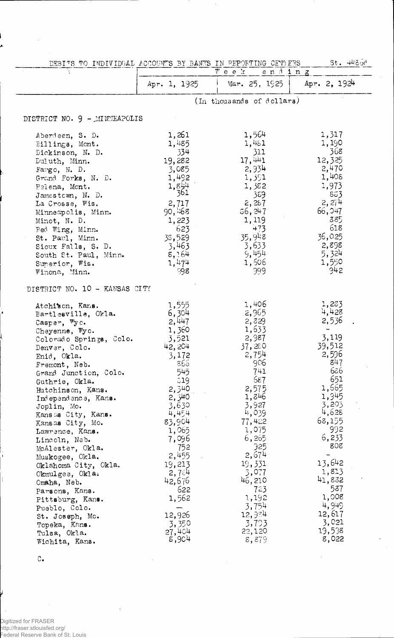| DEBITS TO INDIVIDUAL ACCOUNTS BY BANKS IN REPORTING CENTERS. |                  | St. 4480c                 |                |
|--------------------------------------------------------------|------------------|---------------------------|----------------|
|                                                              |                  | Week<br>ending            |                |
|                                                              | Apr. 1, 1925     | Mar. $25, 1925$           | Apr. $2, 1924$ |
|                                                              |                  | (In thousands of dollars) |                |
| DISTRICT NO. 9 - MINNEAPOLIS                                 |                  |                           |                |
| Aberdeen, S. D.                                              | 1,261            | 1,564                     | 1,317          |
| Eillings, Mont.                                              | 1,485            | 1,461                     | 1,190          |
| Dickinson, N. D.                                             | 334              | 311                       | 368            |
| Duluth, Minn.                                                | 19,282           | 17,441                    | 12,325         |
| Fargo, N. D.                                                 | 3,085            | 2,934                     | 2,470          |
| Grand Forks, N. D.                                           | 1,492            | 1,391                     | 1,408          |
| Helena, Mont.                                                | $1,844$<br>$361$ | 1,382                     | 1,973          |
| Jamestown, N. D.                                             |                  | 389                       | 863            |
| La Crosse, Wis.                                              | 2,717            | 2,287                     | 2,274          |
| Minneapolis, Minn.                                           | 90,468           | 56, 247                   | 66,047         |
| Minot, N. D.                                                 | 1,223            | 1,119                     | 385            |
| Red Wing, Minn.                                              | 623              | 473                       | 618            |
| St. Paul, Minn.                                              | 38,529           | 35,948                    | 36,025         |
| Sioux Falls, S. D.                                           | 3,463            | 3,633                     | 2,898          |
| South St. Paul, Minn.                                        | 8,164            | 9,454                     | 5,324          |
| Superior, Wis.                                               | 1,474            | 1,506                     | 1,550          |
| Winona, Minn.                                                | 998              | 999                       | 942            |
| DISTRICT NO. 10 - KANSAS CITY                                |                  |                           |                |
| Atchison, Kans.                                              | 1,555            | 1,406                     | 1,283          |
| Bartlesville, Okla.                                          | 6,304            | 2,965                     | 4,428          |
| Casper, Wyo.                                                 | 2,447            | 2,329                     | 2,536          |
| Cheyenne, Vyo.                                               | 1,360            | 1,633                     | 3,119          |
| Colorado Springs, Colo.                                      | 3,521            | 2,987<br>37,280           | 39,512         |
| Denver, Colo.                                                | 42, 204          | 2,754                     | 2,596          |
| Enid, Okla.                                                  | 3,172<br>866     | 906                       | 847            |
| Fremont, Neb.                                                | 545              | 741                       | 686            |
| Grand Junction, Colo.                                        | 319              | 587                       | 651            |
| Guthrie, Okla.<br>Hutchinson, Kans.                          | 2,340            | 2,575                     | 1,665          |
| Independence, Kans.                                          | 2,340            | 1,846                     | 1,945          |
| Joplin, Mo.                                                  | 3,630            | 3,927                     | 3,203          |
| Kansas City, Kans.                                           | 4,454            | 4,039                     | 4,628          |
| Kansas City, Mo.                                             | 83,904           | 77,422                    | 68,155         |
| Lawrence, Kans.                                              | 1,065            | 1,075                     | 992            |
| Lincoln, Neb.                                                | 7,096            | 6,265                     | 6,233          |
| McAlester, Okla.                                             | 752              | 325                       | 808            |
| Muskogee, Okla.                                              | 2,455            | 2,674                     |                |
| Oklahoma City, Okla.                                         | 19,213           | 19,331                    | 13,642         |
| Okmulgee, Okla.                                              | 2,7∛∔            | 3,077                     | 1,813          |
| Omaha, Neb.                                                  | 42,676           | 46,210                    | 41,832         |
| Parsons, Kans.                                               | 622              | 723                       | 537            |
| Pittsburg, Kans.                                             | 1,562            | 1,192                     | 1,008          |
| Pueblo, Colo.                                                |                  | 3,754                     | 4,949          |
| St. Joseph, Mo.                                              | 12,926           | 12,984                    | 12,617         |
| Topeka, Kans.                                                | 3,350            | 3,793                     | 3,021          |
| Tulsa, Okla.                                                 | 27,404           | 22,120                    | 19,538         |
| Wichita, Kans.                                               | 8,904            | 8,879                     | 8,022          |

 $\mathtt{C}_{\bullet}$ 

Digitized for FRASER http://fraser.stlouisfed.org/ Federal Reserve Bank of St. Louis